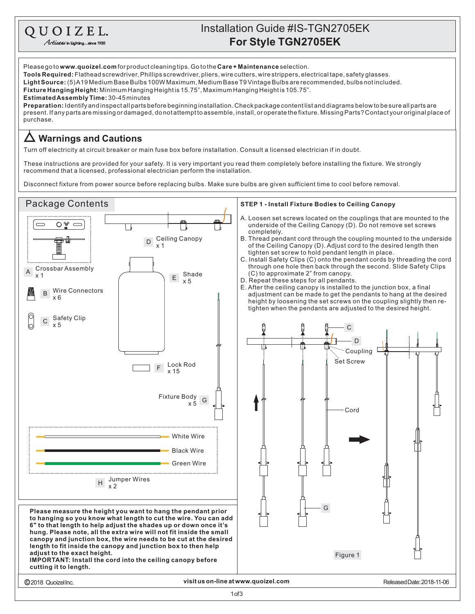## **For Style TGN2705EK** Installation Guide #IS-TGN2705EK

Please go to **www.quoizel.com** for product cleaning tips. Go to the **Care + Maintenance** selection. **Tools Required:** Flathead screwdriver, Phillips screwdriver, pliers, wire cutters, wire strippers, electrical tape, safety glasses. **Fixture Hanging Height:** Minimum Hanging Heightis 15.75", Maximum Hanging Heightis 105.75". **LightSource:** (5)A19MediumBaseBulbs100WMaximum,MediumBaseT9VintageBulbsarerecommended,bulbsnotincluded.

**EstimatedAssemblyTime:** 30-45minutes

QUOIZEL. Artisans in Lighting...since 1930

present. If any parts are missing or damaged, do not attempt to assemble, install, or operate the fixture. Missing Parts? Contact your original place of purchase. **Preparation:** Identifyandinspectallpartsbeforebeginninginstallation.Checkpackagecontentlistanddiagramsbelowtobesureallpartsare

## **Warnings and Cautions**

Turn off electricity at circuit breaker or main fuse box before installation. Consult a licensed electrician if in doubt.

These instructions are provided for your safety. It is very important you read them completely before installing the fixture. We strongly recommend that a licensed, professional electrician perform the installation.

Disconnect fixture from power source before replacing bulbs. Make sure bulbs are given sufficient time to cool before removal.

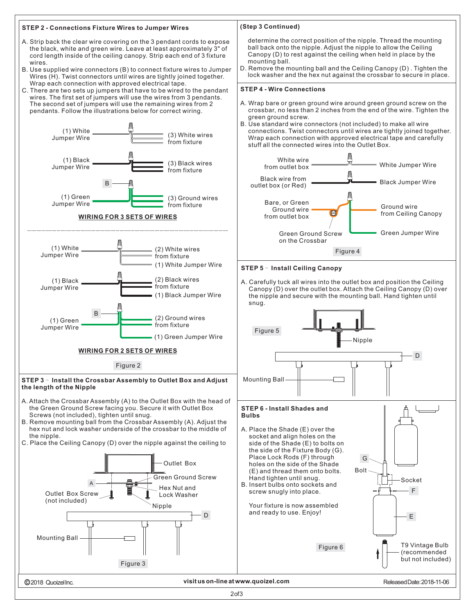